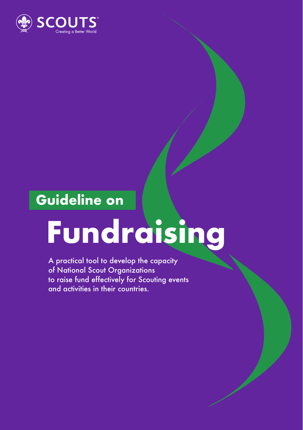

### **Guideline on**

# **Fundraising**

A practical tool to develop the capacity of National Scout Organizations to raise fund effectively for Scouting events and activities in their countries.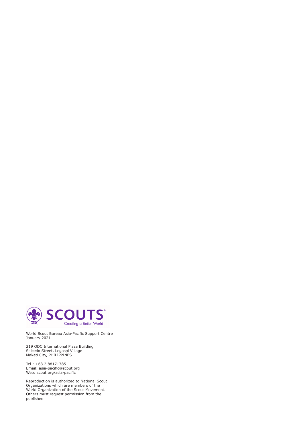

World Scout Bureau Asia-Pacific Support Centre January 2021

219 ODC International Plaza Building Salcedo Street, Legaspi Village Makati City, PHILIPPINES

Tel.: +63 2 88171785 Email: asia-pacific@scout.org Web: scout.org/asia-pacific

Reproduction is authorized to National Scout Organizations which are members of the World Organization of the Scout Movement. Others must request permission from the publisher.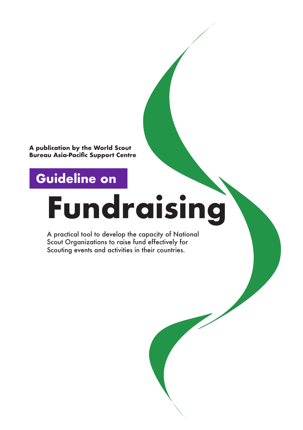**A publication by the World Scout Bureau Asia-Pacific Support Centre**

### **Guideline on**

Guidelines on Fundraising **<sup>2</sup>** Guidelines on Fundraising **<sup>3</sup>**

### **Fundraising**

A practical tool to develop the capacity of National Scout Organizations to raise fund effectively for Scouting events and activities in their countries.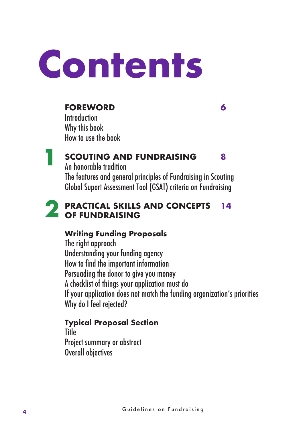## **Contents**

#### **FOREWORD 6**

**Introduction** Why this book How to use the book

#### **SCOUTING AND FUNDRAISING 8 1**

An honorable tradition

The features and general principles of Fundraising in Scouting Global Suport Assessment Tool (GSAT) criteria on Fundraising

#### **PRACTICAL SKILLS AND CONCEPTS 14 2** PRACTICAL SKILLS<br>OF FUNDRAISING

#### **Writing Funding Proposals**

The right approach Understanding your funding agency How to find the important information Persuading the donor to give you money A checklist of things your application must do If your application does not match the funding organization's priorities Why do I feel rejected?

#### **Typical Proposal Section**

Title Project summary or abstract Overall objectives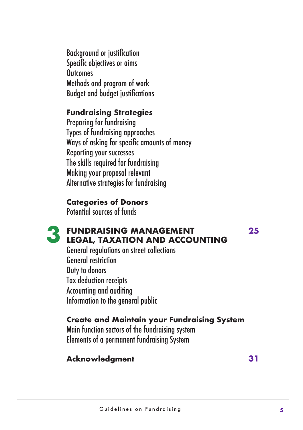Background or justification Specific objectives or aims **Outcomes** Methods and program of work Budget and budget justifications

#### **Fundraising Strategies**

Preparing for fundraising Types of fundraising approaches Ways of asking for specific amounts of money Reporting your successes The skills required for fundraising Making your proposal relevant Alternative strategies for fundraising

#### **Categories of Donors**

Potential sources of funds



#### **FUNDRAISING MANAGEMENT 25 3** FUNDRAISING MANAGEMENT LEGAL, TAXATION AND ACCOUNTING

General regulations on street collections General restriction Duty to donors Tax deduction receipts Accounting and auditing Information to the general public

#### **Create and Maintain your Fundraising System**

Main function sectors of the fundraising system Elements of a permanent fundraising System

#### **Acknowledgment 31**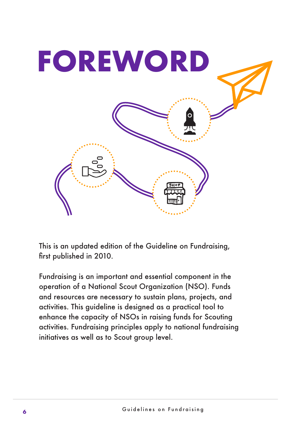

This is an updated edition of the Guideline on Fundraising, first published in 2010.

Fundraising is an important and essential component in the operation of a National Scout Organization (NSO). Funds and resources are necessary to sustain plans, projects, and activities. This guideline is designed as a practical tool to enhance the capacity of NSOs in raising funds for Scouting activities. Fundraising principles apply to national fundraising initiatives as well as to Scout group level.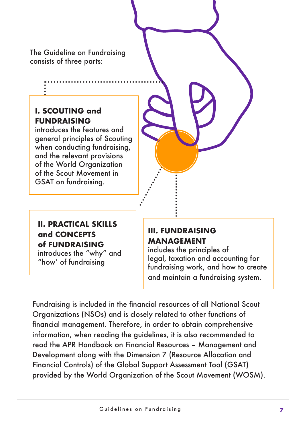The Guideline on Fundraising consists of three parts:

#### **I. SCOUTING and FUNDRAISING**

introduces the features and general principles of Scouting when conducting fundraising, and the relevant provisions of the World Organization of the Scout Movement in GSAT on fundraising.

#### **II. PRACTICAL SKILLS and CONCEPTS of FUNDRAISING**

introduces the "why" and "how' of fundraising

#### **III. FUNDRAISING MANAGEMENT**

includes the principles of legal, taxation and accounting for fundraising work, and how to create and maintain a fundraising system.

Fundraising is included in the financial resources of all National Scout Organizations (NSOs) and is closely related to other functions of financial management. Therefore, in order to obtain comprehensive information, when reading the guidelines, it is also recommended to read the APR Handbook on Financial Resources – Management and Development along with the Dimension 7 (Resource Allocation and Financial Controls) of the Global Support Assessment Tool (GSAT) provided by the World Organization of the Scout Movement (WOSM).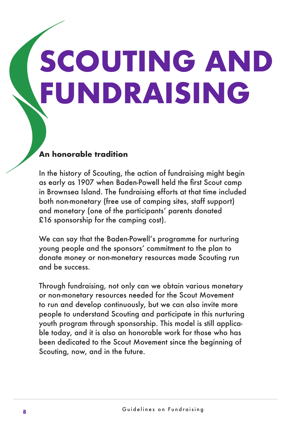# **SCOUTING AND FUNDRAISING**

#### **An honorable tradition**

In the history of Scouting, the action of fundraising might begin as early as 1907 when Baden-Powell held the first Scout camp in Brownsea Island. The fundraising efforts at that time included both non-monetary (free use of camping sites, staff support) and monetary (one of the participants' parents donated £16 sponsorship for the camping cost).

We can say that the Baden-Powell's programme for nurturing young people and the sponsors' commitment to the plan to donate money or non-monetary resources made Scouting run and be success.

Through fundraising, not only can we obtain various monetary or non-monetary resources needed for the Scout Movement to run and develop continuously, but we can also invite more people to understand Scouting and participate in this nurturing youth program through sponsorship. This model is still applicable today, and it is also an honorable work for those who has been dedicated to the Scout Movement since the beginning of Scouting, now, and in the future.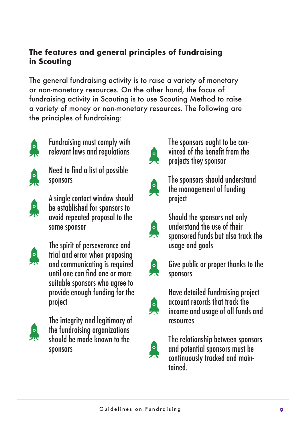#### **The features and general principles of fundraising in Scouting**

The general fundraising activity is to raise a variety of monetary or non-monetary resources. On the other hand, the focus of fundraising activity in Scouting is to use Scouting Method to raise a variety of money or non-monetary resources. The following are the principles of fundraising:



Fundraising must comply with relevant laws and regulations



Need to find a list of possible sponsors



A single contact window should be established for sponsors to avoid repeated proposal to the same sponsor



The spirit of perseverance and trial and error when proposing and communicating is required until one can find one or more suitable sponsors who agree to provide enough funding for the project



The integrity and legitimacy of the fundraising organizations should be made known to the sponsors



The sponsors ought to be convinced of the benefit from the projects they sponsor



The sponsors should understand the management of funding project



Should the sponsors not only understand the use of their sponsored funds but also track the usage and goals



Give public or proper thanks to the sponsors



Have detailed fundraising project account records that track the income and usage of all funds and resources



The relationship between sponsors and potential sponsors must be continuously tracked and maintained.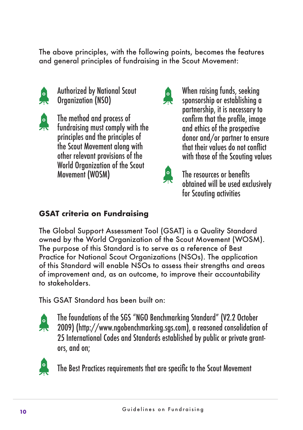The above principles, with the following points, becomes the features and general principles of fundraising in the Scout Movement:



Authorized by National Scout Organization (NSO)



The method and process of fundraising must comply with the principles and the principles of the Scout Movement along with other relevant provisions of the World Organization of the Scout Movement (WOSM)



When raising funds, seeking sponsorship or establishing a partnership, it is necessary to confirm that the profile, image and ethics of the prospective donor and/or partner to ensure that their values do not conflict with those of the Scouting values



The resources or benefits obtained will be used exclusively for Scouting activities

#### **GSAT criteria on Fundraising**

The Global Support Assessment Tool (GSAT) is a Quality Standard owned by the World Organization of the Scout Movement (WOSM). The purpose of this Standard is to serve as a reference of Best Practice for National Scout Organizations (NSOs). The application of this Standard will enable NSOs to assess their strengths and areas of improvement and, as an outcome, to improve their accountability to stakeholders.

This GSAT Standard has been built on:



The foundations of the SGS "NGO Benchmarking Standard" (V2.2 October 2009) (http://www.ngobenchmarking.sgs.com), a reasoned consolidation of 25 International Codes and Standards established by public or private grantors, and on;



The Best Practices requirements that are specific to the Scout Movement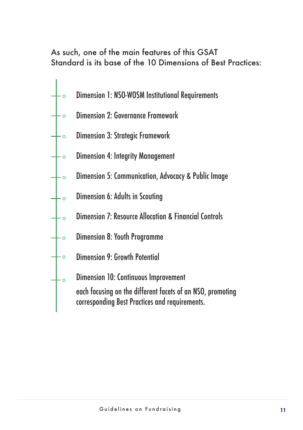#### As such, one of the main features of this GSAT Standard is its base of the 10 Dimensions of Best Practices:

Dimension 1: NSO-WOSM Institutional Requirements  $\overline{\phantom{0}}$ Dimension 2: Governance Framework  $\overline{\phantom{0}}$ Dimension 3: Strategic Framework  $\overline{\phantom{0}}$ Dimension 4: Integrity Management  $\overline{\phantom{0}}$ Dimension 5: Communication, Advocacy & Public Image  $\sim$ Dimension 6: Adults in Scouting  $-\circ$ Dimension 7: Resource Allocation & Financial Controls  $\overline{\phantom{0}}$ Dimension 8: Youth Programme  $\overline{\circ}$ Dimension 9: Growth Potential  $\vdash$   $\circ$ Dimension 10: Continuous Improvement  $+ \circ$ each focusing on the different facets of an NSO, promoting corresponding Best Practices and requirements.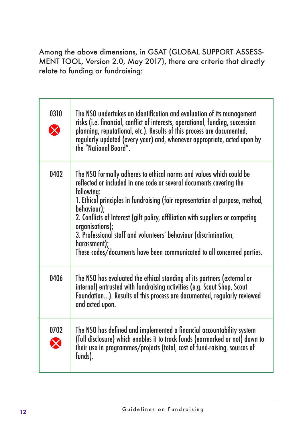Among the above dimensions, in GSAT (GLOBAL SUPPORT ASSESS-MENT TOOL, Version 2.0, May 2017), there are criteria that directly relate to funding or fundraising:

| 0310      | The NSO undertakes an identification and evaluation of its management<br>risks (i.e. financial, conflict of interests, operational, funding, succession<br>planning, reputational, etc.). Results of this process are documented,<br>regularly updated (every year) and, whenever appropriate, acted upon by<br>the "National Board".                                                                                                                                                                                       |
|-----------|-----------------------------------------------------------------------------------------------------------------------------------------------------------------------------------------------------------------------------------------------------------------------------------------------------------------------------------------------------------------------------------------------------------------------------------------------------------------------------------------------------------------------------|
| 0402      | The NSO formally adheres to ethical norms and values which could be<br>reflected or included in one code or several documents covering the<br>following:<br>1. Ethical principles in fundraising (fair representation of purpose, method,<br>behaviour);<br>2. Conflicts of Interest (gift policy, affiliation with suppliers or competing<br>organisations);<br>3. Professional staff and volunteers' behaviour (discrimination,<br>harassment);<br>These codes/documents have been communicated to all concerned parties. |
| 0406      | The NSO has evaluated the ethical standing of its partners (external or<br>internal) entrusted with fundraising activities (e.g. Scout Shop, Scout<br>Foundation). Results of this process are documented, regularly reviewed<br>and acted upon.                                                                                                                                                                                                                                                                            |
| 0702<br>X | The NSO has defined and implemented a financial accountability system<br>(full disclosure) which enables it to track funds (earmarked or not) down to<br>their use in programmes/projects (total, cost of fund-raising, sources of<br>funds).                                                                                                                                                                                                                                                                               |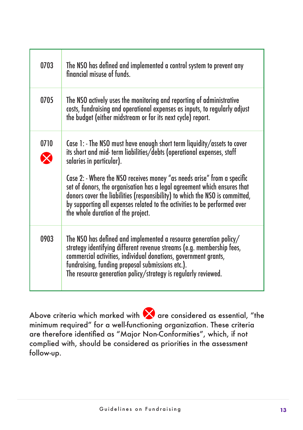| 0703 | The NSO has defined and implemented a control system to prevent any<br>financial misuse of funds.                                                                                                                                                                                                                                                                                                                                                                                                                                      |
|------|----------------------------------------------------------------------------------------------------------------------------------------------------------------------------------------------------------------------------------------------------------------------------------------------------------------------------------------------------------------------------------------------------------------------------------------------------------------------------------------------------------------------------------------|
| 0705 | The NSO actively uses the monitoring and reporting of administrative<br>costs, fundraising and operational expenses as inputs, to regularly adjust<br>the budget (either midstream or for its next cycle) report.                                                                                                                                                                                                                                                                                                                      |
| 0710 | Case 1: - The NSO must have enough short term liquidity/assets to cover<br>its short and mid-term liabilities/debts (operational expenses, staff<br>salaries in particular).<br>Case 2: - Where the NSO receives money "as needs arise" from a specific<br>set of donors, the organisation has a legal agreement which ensures that<br>donors cover the liabilities (responsibility) to which the NSO is committed,<br>by supporting all expenses related to the activities to be performed over<br>the whole duration of the project. |
| 0903 | The NSO has defined and implemented a resource generation policy/<br>strategy identifying different revenue streams (e.g. membership fees,<br>commercial activities, individual donations, government grants,<br>fundraising, funding proposal submissions etc.).<br>The resource generation policy/strategy is regularly reviewed.                                                                                                                                                                                                    |

Above criteria which marked with  $\bigtimes$  are considered as essential, "the minimum required" for a well-functioning organization. These criteria are therefore identified as "Major Non-Conformities", which, if not complied with, should be considered as priorities in the assessment follow-up.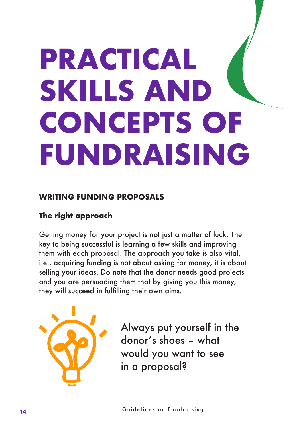### **PRACTICAL SKILLS AND CONCEPTS OF FUNDRAISING**

#### **WRITING FUNDING PROPOSALS**

#### **The right approach**

Getting money for your project is not just a matter of luck. The key to being successful is learning a few skills and improving them with each proposal. The approach you take is also vital, i.e., acquiring funding is not about asking for money, it is about selling your ideas. Do note that the donor needs good projects and you are persuading them that by giving you this money, they will succeed in fulfilling their own aims.



Always put yourself in the donor's shoes – what would you want to see in a proposal?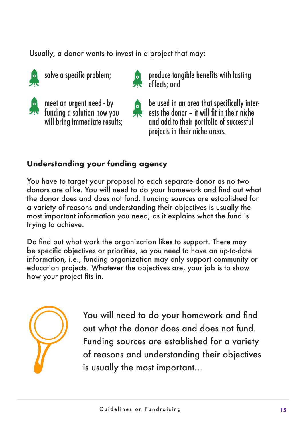Usually, a donor wants to invest in a project that may:

solve a specific problem;



meet an urgent need - by *Fig.* funding a solution now you will bring immediate results;

**Produce tangible benefits with lasting A** effects: and

be used in an area that specifically inter- $\epsilon$  be used in an area mar specifically interand add to their portfolio of successful projects in their niche areas.

#### **Understanding your funding agency**

You have to target your proposal to each separate donor as no two donors are alike. You will need to do your homework and find out what the donor does and does not fund. Funding sources are established for a variety of reasons and understanding their objectives is usually the most important information you need, as it explains what the fund is trying to achieve.

Do find out what work the organization likes to support. There may be specific objectives or priorities, so you need to have an up-to-date information, i.e., funding organization may only support community or education projects. Whatever the objectives are, your job is to show how your project fits in.



You will need to do your homework and find out what the donor does and does not fund. Funding sources are established for a variety of reasons and understanding their objectives is usually the most important...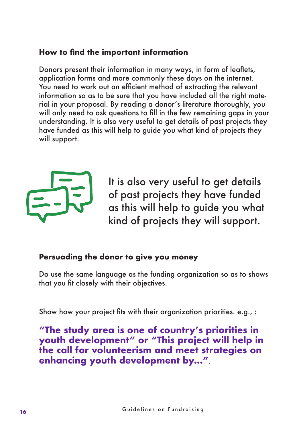#### **How to find the important information**

Donors present their information in many ways, in form of leaflets, application forms and more commonly these days on the internet. You need to work out an efficient method of extracting the relevant information so as to be sure that you have included all the right material in your proposal. By reading a donor's literature thoroughly, you will only need to ask questions to fill in the few remaining gaps in your understanding. It is also very useful to get details of past projects they have funded as this will help to guide you what kind of projects they will support.



It is also very useful to get details of past projects they have funded as this will help to guide you what kind of projects they will support.

#### **Persuading the donor to give you money**

Do use the same language as the funding organization so as to shows that you fit closely with their objectives.

Show how your project fits with their organization priorities. e.g., :

**"The study area is one of country's priorities in youth development" or "This project will help in the call for volunteerism and meet strategies on enhancing youth development by…"**.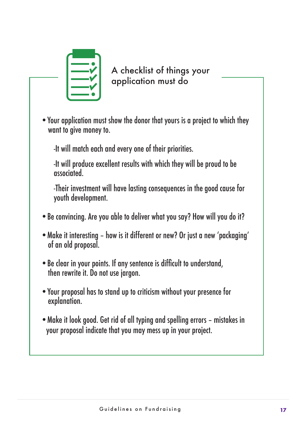

A checklist of things your application must do

•Your application must show the donor that yours is a project to which they want to give money to.

-It will match each and every one of their priorities.

-It will produce excellent results with which they will be proud to be hatninn

-Their investment will have lasting consequences in the good cause for youth development.

- •Be convincing. Are you able to deliver what you say? How will you do it?
- •Make it interesting how is it different or new? Or just a new 'packaging' of an old proposal.
- •Be clear in your points. If any sentence is difficult to understand, then rewrite it. Do not use jargon.
- •Your proposal has to stand up to criticism without your presence for explanation.
- •Make it look good. Get rid of all typing and spelling errors mistakes in your proposal indicate that you may mess up in your project.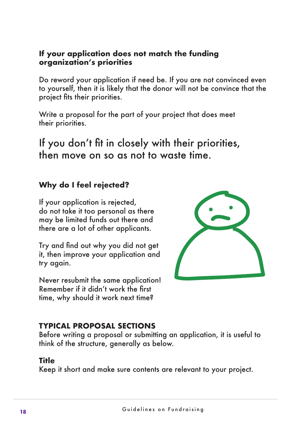#### **If your application does not match the funding organization's priorities**

Do reword your application if need be. If you are not convinced even to yourself, then it is likely that the donor will not be convince that the project fits their priorities.

Write a proposal for the part of your project that does meet their priorities.

If you don't fit in closely with their priorities, then move on so as not to waste time.

#### **Why do I feel rejected?**

If your application is rejected, do not take it too personal as there may be limited funds out there and there are a lot of other applicants.

Try and find out why you did not get it, then improve your application and try again.

Never resubmit the same application! Remember if it didn't work the first time, why should it work next time?



#### **TYPICAL PROPOSAL SECTIONS**

Before writing a proposal or submitting an application, it is useful to think of the structure, generally as below.

#### **Title**

Keep it short and make sure contents are relevant to your project.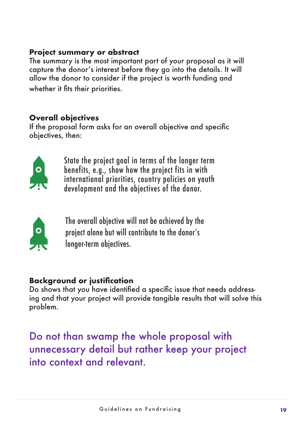#### **Project summary or abstract**

The summary is the most important part of your proposal as it will capture the donor's interest before they go into the details. It will allow the donor to consider if the project is worth funding and whether it fits their priorities.

#### **Overall objectives**

If the proposal form asks for an overall objective and specific objectives, then:



State the project goal in terms of the longer term benefits, e.g., show how the project fits in with international priorities, country policies on youth development and the objectives of the donor.



The overall objective will not be achieved by the project alone but will contribute to the donor's longer-term objectives.

#### **Background or justification**

Do shows that you have identified a specific issue that needs addressing and that your project will provide tangible results that will solve this problem.

Do not than swamp the whole proposal with unnecessary detail but rather keep your project into context and relevant.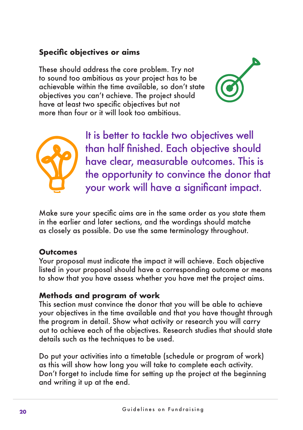#### **Specific objectives or aims**

These should address the core problem. Try not to sound too ambitious as your project has to be achievable within the time available, so don't state objectives you can't achieve. The project should have at least two specific objectives but not more than four or it will look too ambitious.





It is better to tackle two objectives well than half finished. Each objective should have clear, measurable outcomes. This is the opportunity to convince the donor that your work will have a significant impact.

Make sure your specific aims are in the same order as you state them in the earlier and later sections, and the wordings should matche as closely as possible. Do use the same terminology throughout.

#### **Outcomes**

Your proposal must indicate the impact it will achieve. Each objective listed in your proposal should have a corresponding outcome or means to show that you have assess whether you have met the project aims.

#### **Methods and program of work**

This section must convince the donor that you will be able to achieve your objectives in the time available and that you have thought through the program in detail. Show what activity or research you will carry out to achieve each of the objectives. Research studies that should state details such as the techniques to be used.

Do put your activities into a timetable (schedule or program of work) as this will show how long you will take to complete each activity. Don't forget to include time for setting up the project at the beginning and writing it up at the end.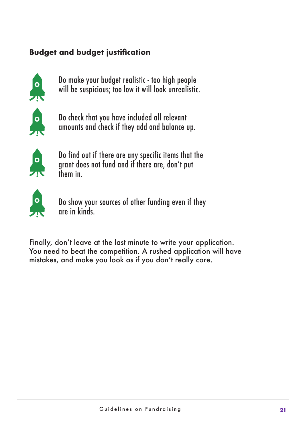#### **Budget and budget justification**



Do make your budget realistic - too high people will be suspicious; too low it will look unrealistic.



Do check that you have included all relevant amounts and check if they add and balance up.



Do find out if there are any specific items that the grant does not fund and if there are, don't put them in.



Do show your sources of other funding even if they are in kinds.

Finally, don't leave at the last minute to write your application. You need to beat the competition. A rushed application will have mistakes, and make you look as if you don't really care.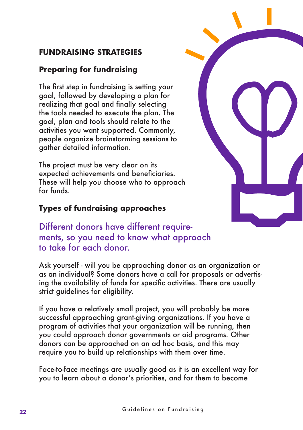#### **FUNDRAISING STRATEGIES**

#### **Preparing for fundraising**

The first step in fundraising is setting your goal, followed by developing a plan for realizing that goal and finally selecting the tools needed to execute the plan. The goal, plan and tools should relate to the activities you want supported. Commonly, people organize brainstorming sessions to gather detailed information.

The project must be very clear on its expected achievements and beneficiaries. These will help you choose who to approach for funds.

#### **Types of fundraising approaches**

Different donors have different requirements, so you need to know what approach to take for each donor.

Ask yourself - will you be approaching donor as an organization or as an individual? Some donors have a call for proposals or advertising the availability of funds for specific activities. There are usually strict guidelines for eligibility.

If you have a relatively small project, you will probably be more successful approaching grant-giving organizations. If you have a program of activities that your organization will be running, then you could approach donor governments or aid programs. Other donors can be approached on an ad hoc basis, and this may require you to build up relationships with them over time.

Face-to-face meetings are usually good as it is an excellent way for you to learn about a donor's priorities, and for them to become

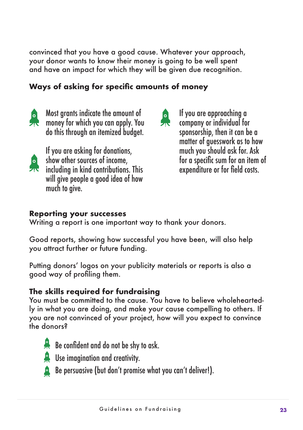convinced that you have a good cause. Whatever your approach, your donor wants to know their money is going to be well spent and have an impact for which they will be given due recognition.

#### **Ways of asking for specific amounts of money**



臬

Most grants indicate the amount of money for which you can apply. You do this through an itemized budget.

If you are asking for donations, show other sources of income, including in kind contributions. This will give people a good idea of how



If you are approaching a company or individual for sponsorship, then it can be a matter of guesswork as to how much you should ask for. Ask for a specific sum for an item of expenditure or for field costs.

#### **Reporting your successes**

much to give.

Writing a report is one important way to thank your donors.

Good reports, showing how successful you have been, will also help you attract further or future funding.

Putting donors' logos on your publicity materials or reports is also a good way of profiling them.

#### **The skills required for fundraising**

You must be committed to the cause. You have to believe wholeheartedly in what you are doing, and make your cause compelling to others. If you are not convinced of your project, how will you expect to convince the donors?



Be confident and do not be shy to ask.

- **E.** Use imagination and creativity.
	- Be persuasive (but don't promise what you can't deliver!).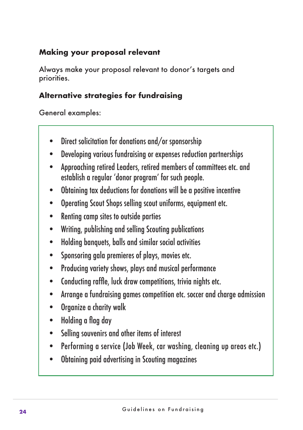#### **Making your proposal relevant**

Always make your proposal relevant to donor's targets and priorities.

#### **Alternative strategies for fundraising**

General examples:

- Direct solicitation for donations and/or sponsorship
- Developing various fundraising or expenses reduction partnerships
- Approaching retired Leaders, retired members of committees etc. and establish a regular 'donor program' for such people.
- Obtaining tax deductions for donations will be a positive incentive
- Operating Scout Shops selling scout uniforms, equipment etc.
- Renting camp sites to outside parties
- Writing, publishing and selling Scouting publications
- Holding banquets, balls and similar social activities
- Sponsoring gala premieres of plays, movies etc.
- Producing variety shows, plays and musical performance
- Conducting raffle, luck draw competitions, trivia nights etc.
- Arrange a fundraising games competition etc. soccer and charge admission
- Organize a charity walk
- Holding a flag day
- Selling souvenirs and other items of interest
- Performing a service (Job Week, car washing, cleaning up areas etc.)
- Obtaining paid advertising in Scouting magazines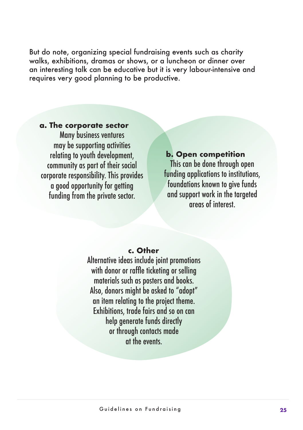But do note, organizing special fundraising events such as charity walks, exhibitions, dramas or shows, or a luncheon or dinner over an interesting talk can be educative but it is very labour-intensive and requires very good planning to be productive.

#### **a. The corporate sector**

Many business ventures may be supporting activities relating to youth development, community as part of their social corporate responsibility. This provides a good opportunity for getting funding from the private sector.

 **b. Open competition**  This can be done through open funding applications to institutions, foundations known to give funds and support work in the targeted areas of interest.

#### **c. Other**

Alternative ideas include joint promotions with donor or raffle ticketing or selling materials such as posters and books. Also, donors might be asked to "adopt" an item relating to the project theme. Exhibitions, trade fairs and so on can help generate funds directly or through contacts made at the events.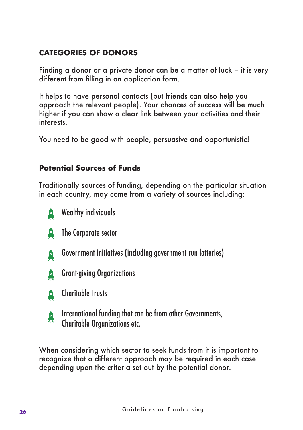#### **CATEGORIES OF DONORS**

Finding a donor or a private donor can be a matter of luck – it is very different from filling in an application form.

It helps to have personal contacts (but friends can also help you approach the relevant people). Your chances of success will be much higher if you can show a clear link between your activities and their interests.

You need to be good with people, persuasive and opportunistic!

#### **Potential Sources of Funds**

Traditionally sources of funding, depending on the particular situation in each country, may come from a variety of sources including:



Wealthy individuals



The Corporate sector



Government initiatives (including government run lotteries)



Grant-giving Organizations





International funding that can be from other Governments, Charitable Organizations etc.

When considering which sector to seek funds from it is important to recognize that a different approach may be required in each case depending upon the criteria set out by the potential donor.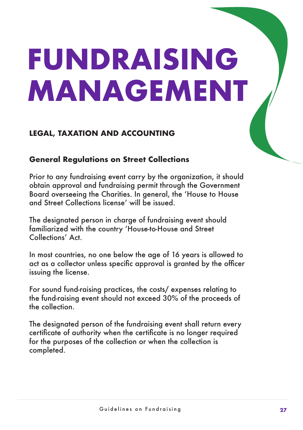### **FUNDRAISING MANAGEMENT**

#### **LEGAL, TAXATION AND ACCOUNTING**

#### **General Regulations on Street Collections**

Prior to any fundraising event carry by the organization, it should obtain approval and fundraising permit through the Government Board overseeing the Charities. In general, the 'House to House and Street Collections license' will be issued.

The designated person in charge of fundraising event should familiarized with the country 'House-to-House and Street Collections' Act.

In most countries, no one below the age of 16 years is allowed to act as a collector unless specific approval is granted by the officer issuing the license.

For sound fund-raising practices, the costs/ expenses relating to the fund-raising event should not exceed 30% of the proceeds of the collection.

The designated person of the fundraising event shall return every certificate of authority when the certificate is no longer required for the purposes of the collection or when the collection is completed.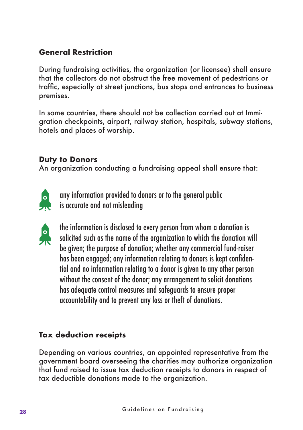#### **General Restriction**

During fundraising activities, the organization (or licensee) shall ensure that the collectors do not obstruct the free movement of pedestrians or traffic, especially at street junctions, bus stops and entrances to business premises.

In some countries, there should not be collection carried out at Immigration checkpoints, airport, railway station, hospitals, subway stations, hotels and places of worship.

#### **Duty to Donors**

An organization conducting a fundraising appeal shall ensure that:



any information provided to donors or to the general public is accurate and not misleading



the information is disclosed to every person from whom a donation is solicited such as the name of the organization to which the donation will be given; the purpose of donation; whether any commercial fund-raiser has been engaged; any information relating to donors is kept confidential and no information relating to a donor is given to any other person without the consent of the donor; any arrangement to solicit donations has adequate control measures and safeguards to ensure proper accountability and to prevent any loss or theft of donations.

#### **Tax deduction receipts**

Depending on various countries, an appointed representative from the government board overseeing the charities may authorize organization that fund raised to issue tax deduction receipts to donors in respect of tax deductible donations made to the organization.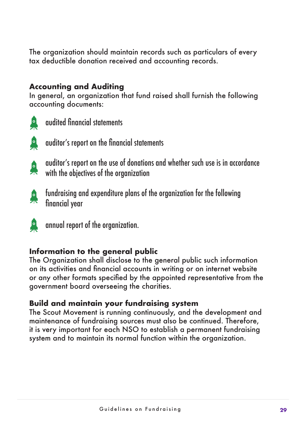The organization should maintain records such as particulars of every tax deductible donation received and accounting records.

#### **Accounting and Auditing**

In general, an organization that fund raised shall furnish the following accounting documents:



audited financial statements



auditor's report on the financial statements

auditor's report on the use of donations and whether such use is in accordance A with the objectives of the organization



fundraising and expenditure plans of the organization for the following financial year



annual report of the organization.

#### **Information to the general public**

The Organization shall disclose to the general public such information on its activities and financial accounts in writing or on internet website or any other formats specified by the appointed representative from the government board overseeing the charities.

#### **Build and maintain your fundraising system**

The Scout Movement is running continuously, and the development and maintenance of fundraising sources must also be continued. Therefore, it is very important for each NSO to establish a permanent fundraising system and to maintain its normal function within the organization.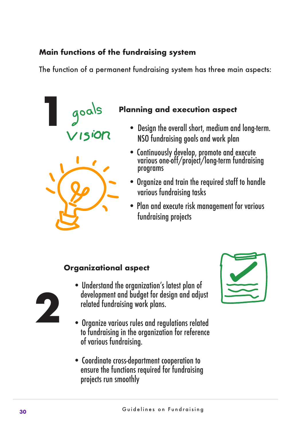#### **Main functions of the fundraising system**

The function of a permanent fundraising system has three main aspects:



#### **Planning and execution aspect**

- Design the overall short, medium and long-term. NSO fundraising goals and work plan
- Continuously develop, promote and execute various one-off/project/long-term fundraising programs
- Organize and train the required staff to handle various fundraising tasks
- Plan and execute risk management for various fundraising projects

#### **Organizational aspect**



- Understand the organization's latest plan of development and budget for design and adjust related fundraising work plans.
- Organize various rules and regulations related to fundraising in the organization for reference of various fundraising.
- Coordinate cross-department cooperation to ensure the functions required for fundraising projects run smoothly

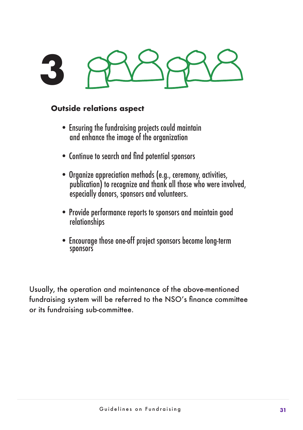# **3**

#### **Outside relations aspect**

- Ensuring the fundraising projects could maintain and enhance the image of the organization
- Continue to search and find potential sponsors
- Organize appreciation methods (e.g., ceremony, activities, publication) to recognize and thank all those who were involved, especially donors, sponsors and volunteers.
- Provide performance reports to sponsors and maintain good relationships
- Encourage those one-off project sponsors become long-term sponsors

Usually, the operation and maintenance of the above-mentioned fundraising system will be referred to the NSO's finance committee or its fundraising sub-committee.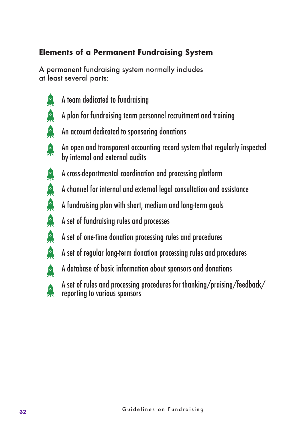#### **Elements of a Permanent Fundraising System**

A permanent fundraising system normally includes at least several parts:

A A

A

A

A

A

臬

A

A

A

A

- A team dedicated to fundraising
- A plan for fundraising team personnel recruitment and training
- An account dedicated to sponsoring donations
- An open and transparent accounting record system that regularly inspected by internal and external audits
- A cross-departmental coordination and processing platform
- A channel for internal and external legal consultation and assistance
- A fundraising plan with short, medium and long-term goals
- A set of fundraising rules and processes
- A set of one-time donation processing rules and procedures
- $\sqrt{2}$ A set of regular long-term donation processing rules and procedures
	- A database of basic information about sponsors and donations

A set of rules and processing procedures for thanking/praising/feedback/ reporting to various sponsors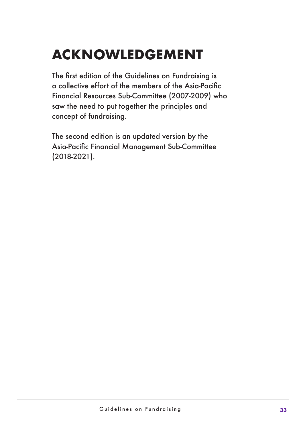### **ACKNOWLEDGEMENT**

The first edition of the Guidelines on Fundraising is a collective effort of the members of the Asia-Pacific Financial Resources Sub-Committee (2007-2009) who saw the need to put together the principles and concept of fundraising.

The second edition is an updated version by the Asia-Pacific Financial Management Sub-Committee (2018-2021).